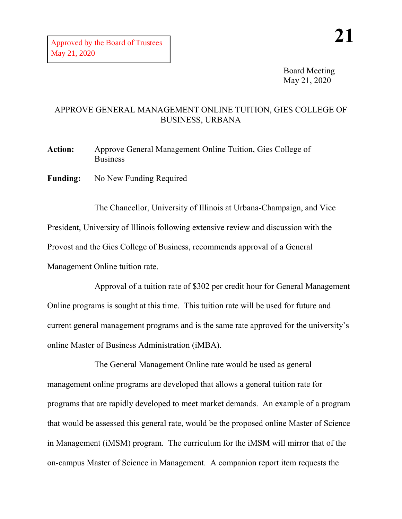Board Meeting May 21, 2020

## APPROVE GENERAL MANAGEMENT ONLINE TUITION, GIES COLLEGE OF BUSINESS, URBANA

**Action:** Approve General Management Online Tuition, Gies College of Business

**Funding:** No New Funding Required

The Chancellor, University of Illinois at Urbana-Champaign, and Vice President, University of Illinois following extensive review and discussion with the Provost and the Gies College of Business, recommends approval of a General Management Online tuition rate.

Approval of a tuition rate of \$302 per credit hour for General Management Online programs is sought at this time. This tuition rate will be used for future and current general management programs and is the same rate approved for the university's online Master of Business Administration (iMBA).

The General Management Online rate would be used as general management online programs are developed that allows a general tuition rate for programs that are rapidly developed to meet market demands. An example of a program that would be assessed this general rate, would be the proposed online Master of Science in Management (iMSM) program. The curriculum for the iMSM will mirror that of the on-campus Master of Science in Management. A companion report item requests the